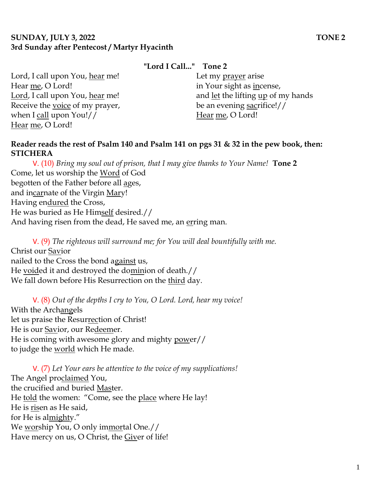### **SUNDAY, JULY 3, 2022 TONE 2 3rd Sunday after Pentecost / Martyr Hyacinth**

## **"Lord I Call..." Tone 2**

Lord, I call upon You, hear me! Hear me, O Lord! Lord, I call upon You, hear me! Receive the voice of my prayer, when I call upon You!// Hear me, O Lord!

Let my prayer arise in Your sight as incense, and let the lifting up of my hands be an evening sacrifice!// Hear me, O Lord!

#### **Reader reads the rest of Psalm 140 and Psalm 141 on pgs 31 & 32 in the pew book, then: STICHERA**

V. (10) *Bring my soul out of prison, that I may give thanks to Your Name!* **Tone 2** Come, let us worship the Word of God begotten of the Father before all ages, and incarnate of the Virgin Mary! Having endured the Cross, He was buried as He Himself desired.// And having risen from the dead, He saved me, an erring man.

V. (9) *The righteous will surround me; for You will deal bountifully with me.*  Christ our Savior nailed to the Cross the bond against us, He voided it and destroyed the dominion of death.// We fall down before His Resurrection on the third day.

V. (8) *Out of the depths I cry to You, O Lord. Lord, hear my voice!*  With the Archangels let us praise the Resurrection of Christ! He is our Savior, our Redeemer. He is coming with awesome glory and mighty power// to judge the world which He made.

V. (7) *Let Your ears be attentive to the voice of my supplications!* The Angel proclaimed You, the crucified and buried Master. He told the women: "Come, see the place where He lay! He is risen as He said, for He is almighty." We worship You, O only immortal One.// Have mercy on us, O Christ, the Giver of life!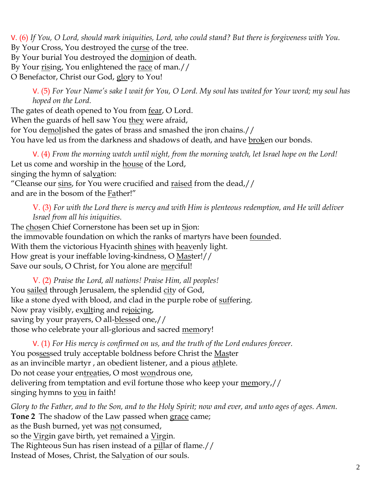V. (6) *If You, O Lord, should mark iniquities, Lord, who could stand? But there is forgiveness with You.*  By Your Cross, You destroyed the curse of the tree. By Your burial You destroyed the dominion of death. By Your rising, You enlightened the race of man.// O Benefactor, Christ our God, glory to You!

V. (5) *For Your Name's sake I wait for You, O Lord. My soul has waited for Your word; my soul has hoped on the Lord.* 

The gates of death opened to You from fear, O Lord. When the guards of hell saw You they were afraid, for You demolished the gates of brass and smashed the iron chains.// You have led us from the darkness and shadows of death, and have broken our bonds.

V. (4) *From the morning watch until night, from the morning watch, let Israel hope on the Lord!*  Let us come and worship in the house of the Lord,

singing the hymn of salvation:

"Cleanse our sins, for You were crucified and raised from the dead,// and are in the bosom of the Father!"

V. (3) *For with the Lord there is mercy and with Him is plenteous redemption, and He will deliver Israel from all his iniquities.*

The chosen Chief Cornerstone has been set up in Sion: the immovable foundation on which the ranks of martyrs have been founded. With them the victorious Hyacinth shines with heavenly light. How great is your ineffable loving-kindness, O Master!// Save our souls, O Christ, for You alone are merciful!

V. (2) *Praise the Lord, all nations! Praise Him, all peoples!* You sailed through Jerusalem, the splendid city of God, like a stone dyed with blood, and clad in the purple robe of suffering. Now pray visibly, exulting and rejoicing, saving by your prayers, O all-blessed one,// those who celebrate your all-glorious and sacred memory!

V. (1) *For His mercy is confirmed on us, and the truth of the Lord endures forever.*  You possessed truly acceptable boldness before Christ the Master as an invincible martyr , an obedient listener, and a pious athlete. Do not cease your entreaties, O most wondrous one, delivering from temptation and evil fortune those who keep your memory,// singing hymns to <u>you</u> in faith!

*Glory to the Father, and to the Son, and to the Holy Spirit; now and ever, and unto ages of ages. Amen.* **Tone 2** The shadow of the Law passed when grace came; as the Bush burned, yet was not consumed, so the Virgin gave birth, yet remained a Virgin. The Righteous Sun has risen instead of a pillar of flame.// Instead of Moses, Christ, the Salvation of our souls.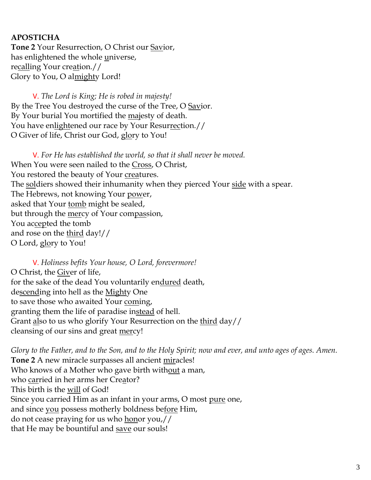# **APOSTICHA**

**Tone 2** Your Resurrection, O Christ our Savior, has enlightened the whole universe, recalling Your creation.// Glory to You, O almighty Lord!

V. *The Lord is King; He is robed in majesty!*  By the Tree You destroyed the curse of the Tree, O Savior. By Your burial You mortified the majesty of death. You have enlightened our race by Your Resurrection.// O Giver of life, Christ our God, glory to You!

V. *For He has established the world, so that it shall never be moved.* When You were seen nailed to the Cross, O Christ, You restored the beauty of Your creatures. The soldiers showed their inhumanity when they pierced Your side with a spear. The Hebrews, not knowing Your power, asked that Your tomb might be sealed, but through the mercy of Your compassion, You accepted the tomb and rose on the third day!// O Lord, glory to You!

V. *Holiness befits Your house, O Lord, forevermore!*  O Christ, the Giver of life, for the sake of the dead You voluntarily endured death, descending into hell as the Mighty One to save those who awaited Your coming, granting them the life of paradise instead of hell. Grant also to us who glorify Your Resurrection on the third day// cleansing of our sins and great mercy!

*Glory to the Father, and to the Son, and to the Holy Spirit; now and ever, and unto ages of ages. Amen.* **Tone 2** A new miracle surpasses all ancient miracles! Who knows of a Mother who gave birth without a man, who carried in her arms her Creator? This birth is the will of God! Since you carried Him as an infant in your arms, O most pure one, and since you possess motherly boldness be<u>fore</u> Him, do not cease praying for us who honor you,// that He may be bountiful and save our souls!